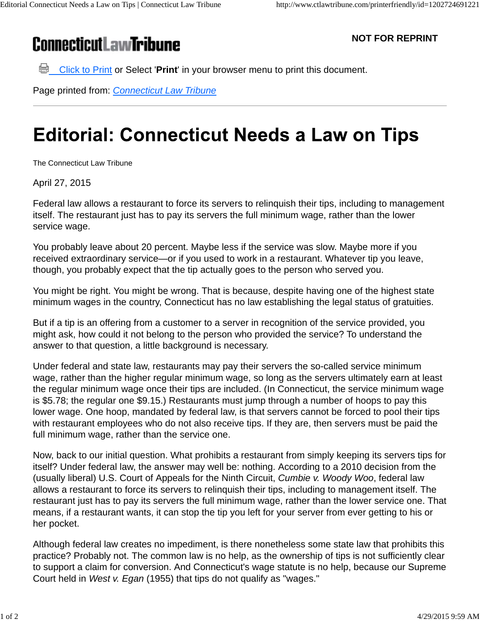## **ConnecticutLawTribune**

**NOT FOR REPRINT**

**Click to Print or Select 'Print'** in your browser menu to print this document.

Page printed from: *Connecticut Law Tribune*

## **Editorial: Connecticut Needs a Law on Tips**

The Connecticut Law Tribune

April 27, 2015

Federal law allows a restaurant to force its servers to relinquish their tips, including to management itself. The restaurant just has to pay its servers the full minimum wage, rather than the lower service wage.

You probably leave about 20 percent. Maybe less if the service was slow. Maybe more if you received extraordinary service—or if you used to work in a restaurant. Whatever tip you leave, though, you probably expect that the tip actually goes to the person who served you.

You might be right. You might be wrong. That is because, despite having one of the highest state minimum wages in the country, Connecticut has no law establishing the legal status of gratuities.

But if a tip is an offering from a customer to a server in recognition of the service provided, you might ask, how could it not belong to the person who provided the service? To understand the answer to that question, a little background is necessary.

Under federal and state law, restaurants may pay their servers the so-called service minimum wage, rather than the higher regular minimum wage, so long as the servers ultimately earn at least the regular minimum wage once their tips are included. (In Connecticut, the service minimum wage is \$5.78; the regular one \$9.15.) Restaurants must jump through a number of hoops to pay this lower wage. One hoop, mandated by federal law, is that servers cannot be forced to pool their tips with restaurant employees who do not also receive tips. If they are, then servers must be paid the full minimum wage, rather than the service one.

Now, back to our initial question. What prohibits a restaurant from simply keeping its servers tips for itself? Under federal law, the answer may well be: nothing. According to a 2010 decision from the (usually liberal) U.S. Court of Appeals for the Ninth Circuit, *Cumbie v. Woody Woo*, federal law allows a restaurant to force its servers to relinquish their tips, including to management itself. The restaurant just has to pay its servers the full minimum wage, rather than the lower service one. That means, if a restaurant wants, it can stop the tip you left for your server from ever getting to his or her pocket.

Although federal law creates no impediment, is there nonetheless some state law that prohibits this practice? Probably not. The common law is no help, as the ownership of tips is not sufficiently clear to support a claim for conversion. And Connecticut's wage statute is no help, because our Supreme Court held in *West v. Egan* (1955) that tips do not qualify as "wages."